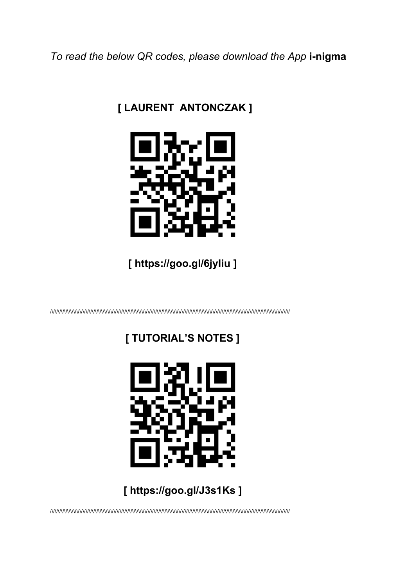To read the below QR codes, please download the App i-nigma

## [ LAURENT ANTONCZAK ]



[ https://goo.gl/6jyliu ]

# [ TUTORIAL'S NOTES ]



# [ https://goo.gl/J3s1Ks ]

/WWWWWWWWWWWWWWWWWWWWWWWWWWWWWWWWW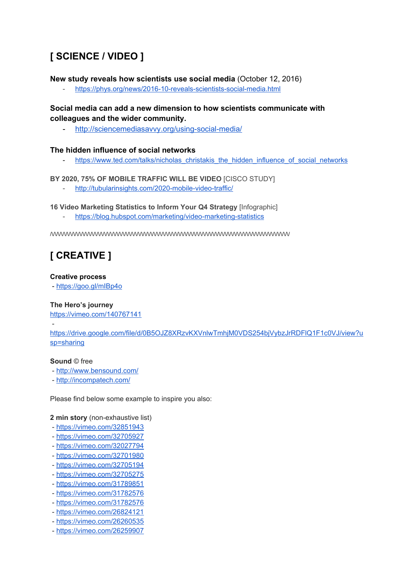## **[ SCIENCE / VIDEO ]**

**New study reveals how scientists use social media** (October 12, 2016)

<https://phys.org/news/2016-10-reveals-scientists-social-media.html>

**Social media can add a new dimension to how scientists communicate with colleagues and the wider community.**

- <http://sciencemediasavvy.org/using-social-media/>

### **The hidden influence of social networks**

[https://www.ted.com/talks/nicholas\\_christakis\\_the\\_hidden\\_influence\\_of\\_social\\_networks](https://www.ted.com/talks/nicholas_christakis_the_hidden_influence_of_social_networks)

**BY 2020, 75% OF MOBILE TRAFFIC WILL BE VIDEO** [CISCO STUDY]

<http://tubularinsights.com/2020-mobile-video-traffic/>

**16 Video Marketing Statistics to Inform Your Q4 Strategy** [Infographic]

- <https://blog.hubspot.com/marketing/video-marketing-statistics>

/\/\/\/\/\/\/\/\/\/\/\/\/\/\/\/\/\/\/\/\/\/\/\/\/\/\/\/\/\/\/\/\/\/\/\/\/\/\/\/\/\/\/\/\/\/\/\/\/\/\/\/\/\/\/\/\/\/\/\/\/\/\/\/\/\/\/\/\/\/\/\/\/\/\/\/\/\/

## **[ CREATIVE ]**

#### **Creative process**

- <https://goo.gl/mIBp4o>

### **The Hero's journey**

<https://vimeo.com/140767141>

[https://drive.google.com/file/d/0B5OJZ8XRzvKXVnlwTmhjM0VDS254bjVybzJrRDFlQ1F1c0VJ/view?u](https://drive.google.com/file/d/0B5OJZ8XRzvKXVnlwTmhjM0VDS254bjVybzJrRDFlQ1F1c0VJ/view?usp=sharing) [sp=sharing](https://drive.google.com/file/d/0B5OJZ8XRzvKXVnlwTmhjM0VDS254bjVybzJrRDFlQ1F1c0VJ/view?usp=sharing)

#### **Sound** © free

-

- <http://www.bensound.com/>
- <http://incompatech.com/>

Please find below some example to inspire you also:

**2 min story** (non-exhaustive list)

- <https://vimeo.com/32851943>
- <https://vimeo.com/32705927>
- <https://vimeo.com/32027794>
- <https://vimeo.com/32701980>
- <https://vimeo.com/32705194>
- <https://vimeo.com/32705275>
- <https://vimeo.com/31789851>
- <https://vimeo.com/31782576>
- <https://vimeo.com/31782576>
- <https://vimeo.com/26824121>
- <https://vimeo.com/26260535>
- <https://vimeo.com/26259907>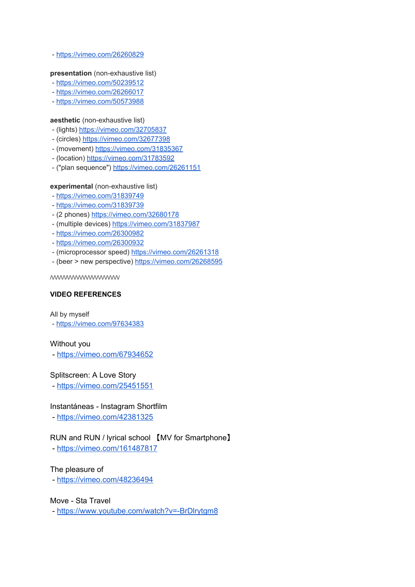- <https://vimeo.com/26260829>

#### **presentation** (non-exhaustive list)

- <https://vimeo.com/50239512>
- <https://vimeo.com/26266017>
- <https://vimeo.com/50573988>

#### **aesthetic** (non-exhaustive list)

- (lights) <https://vimeo.com/32705837>
- (circles) <https://vimeo.com/32677398>
- (movement) <https://vimeo.com/31835367>
- (location) <https://vimeo.com/31783592>
- ("plan sequence") <https://vimeo.com/26261151>

#### **experimental** (non-exhaustive list)

- <https://vimeo.com/31839749>
- <https://vimeo.com/31839739>
- (2 phones) <https://vimeo.com/32680178>
- (multiple devices) <https://vimeo.com/31837987>
- <https://vimeo.com/26300982>
- <https://vimeo.com/26300932>
- (microprocessor speed) <https://vimeo.com/26261318>
- (beer > new perspective) <https://vimeo.com/26268595>

/\/\/\/\/\/\/\/\/\/\/\/\/\/\/\/\/\/\/\/\/\/\/

#### **VIDEO REFERENCES**

#### All by myself

- <https://vimeo.com/97634383>

#### Without you

- <https://vimeo.com/67934652>

### Splitscreen: A Love Story

- <https://vimeo.com/25451551>

### Instantáneas - Instagram Shortfilm

- <https://vimeo.com/42381325>

## RUN and RUN / lyrical school 【MV for Smartphone】

- <https://vimeo.com/161487817>

### The pleasure of

- <https://vimeo.com/48236494>

### Move - Sta Travel

- <https://www.youtube.com/watch?v=-BrDlrytgm8>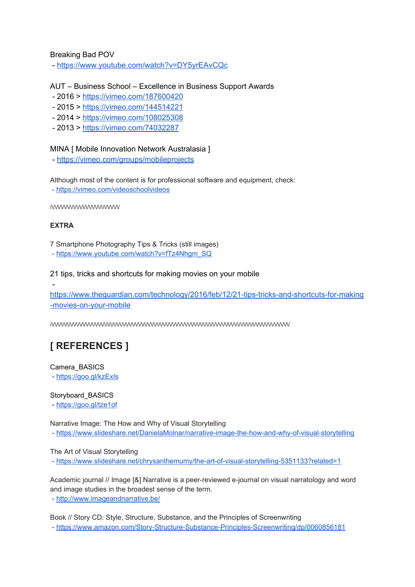### Breaking Bad POV

- <https://www.youtube.com/watch?v=DY5yrEAvCQc>

## AUT – Business School – Excellence in Business Support Awards

- 2016 > <https://vimeo.com/187600420>
- 2015 > <https://vimeo.com/144514221>
- 2014 > <https://vimeo.com/108025308>
- 2013 > <https://vimeo.com/74032287>

### MINA [ Mobile Innovation Network Australasia ]

- <https://vimeo.com/groups/mobileprojects>

Although most of the content is for professional software and equipment, check:

- <https://vimeo.com/videoschoolvideos>

 $\sqrt{\sqrt{2}}$ 

### **EXTRA**

-

7 Smartphone Photography Tips & Tricks (still images)

- [https://www.youtube.com/watch?v=fTz4Nhgm\\_SQ](https://www.youtube.com/watch?v=fTz4Nhgm_SQ)

#### 21 tips, tricks and shortcuts for making movies on your mobile

[https://www.theguardian.com/technology/2016/feb/12/21-tips-tricks-and-shortcuts-for-making](https://www.theguardian.com/technology/2016/feb/12/21-tips-tricks-and-shortcuts-for-making-movies-on-your-mobile) [-movies-on-your-mobile](https://www.theguardian.com/technology/2016/feb/12/21-tips-tricks-and-shortcuts-for-making-movies-on-your-mobile)

/\/\/\/\/\/\/\/\/\/\/\/\/\/\/\/\/\/\/\/\/\/\/\/\/\/\/\/\/\/\/\/\/\/\/\/\/\/\/\/\/\/\/\/\/\/\/\/\/\/\/\/\/\/\/\/\/\/\/\/\/\/\/\/\/\/\/\/\/\/\/\/\/\/\/\/\/\/

# **[ REFERENCES ]**

Camera\_BASICS - <https://goo.gl/kzExIs>

Storyboard\_BASICS

- <https://goo.gl/tze1of>

Narrative Image: The How and Why of Visual Storytelling

- <https://www.slideshare.net/DanielaMolnar/narrative-image-the-how-and-why-of-visual-storytelling>

The Art of Visual Storytelling

- <https://www.slideshare.net/chrysanthemumy/the-art-of-visual-storytelling-5351133?related=1>

Academic journal // Image [&] Narrative is a peer-reviewed e-journal on visual narratology and word and image studies in the broadest sense of the term.

- <http://www.imageandnarrative.be/>

Book // Story CD: Style, Structure, Substance, and the Principles of Screenwriting - <https://www.amazon.com/Story-Structure-Substance-Principles-Screenwriting/dp/0060856181>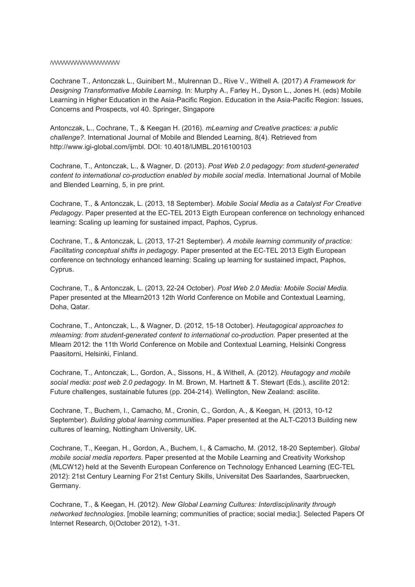#### /\/\/\/\/\/\/\/\/\/\/\/\/\/\/\/\/\/\/\/\/\/\/

Cochrane T., Antonczak L., Guinibert M., Mulrennan D., Rive V., Withell A. (2017) *A Framework for Designing Transformative Mobile Learning*. In: Murphy A., Farley H., Dyson L., Jones H. (eds) Mobile Learning in Higher Education in the Asia-Pacific Region. Education in the Asia-Pacific Region: Issues, Concerns and Prospects, vol 40. Springer, Singapore

Antonczak, L., Cochrane, T., & Keegan H. (2016). *mLearning and Creative practices: a public challenge?*. International Journal of Mobile and Blended Learning, 8(4). Retrieved from http://www.igi-global.com/ijmbl. DOI: 10.4018/IJMBL.2016100103

Cochrane, T., Antonczak, L., & Wagner, D. (2013). *Post Web 2.0 pedagogy: from student-generated content to international co-production enabled by mobile social media*. International Journal of Mobile and Blended Learning, 5, in pre print.

Cochrane, T., & Antonczak, L. (2013, 18 September). *Mobile Social Media as a Catalyst For Creative Pedagogy*. Paper presented at the EC-TEL 2013 Eigth European conference on technology enhanced learning: Scaling up learning for sustained impact, Paphos, Cyprus.

Cochrane, T., & Antonczak, L. (2013, 17-21 September). *A mobile learning community of practice: Facilitating conceptual shifts in pedagogy*. Paper presented at the EC-TEL 2013 Eigth European conference on technology enhanced learning: Scaling up learning for sustained impact, Paphos, Cyprus.

Cochrane, T., & Antonczak, L. (2013, 22-24 October). *Post Web 2.0 Media: Mobile Social Media.* Paper presented at the Mlearn2013 12th World Conference on Mobile and Contextual Learning, Doha, Qatar.

Cochrane, T., Antonczak, L., & Wagner, D. (2012, 15-18 October). *Heutagogical approaches to mlearning: from student-generated content to international co-production*. Paper presented at the Mlearn 2012: the 11th World Conference on Mobile and Contextual Learning, Helsinki Congress Paasitorni, Helsinki, Finland.

Cochrane, T., Antonczak, L., Gordon, A., Sissons, H., & Withell, A. (2012). *Heutagogy and mobile social media: post web 2.0 pedagogy*. In M. Brown, M. Hartnett & T. Stewart (Eds.), ascilite 2012: Future challenges, sustainable futures (pp. 204-214). Wellington, New Zealand: ascilite.

Cochrane, T., Buchem, I., Camacho, M., Cronin, C., Gordon, A., & Keegan, H. (2013, 10-12 September). *Building global learning communities*. Paper presented at the ALT-C2013 Building new cultures of learning, Nottingham University, UK.

Cochrane, T., Keegan, H., Gordon, A., Buchem, I., & Camacho, M. (2012, 18-20 September). *Global mobile social media reporters*. Paper presented at the Mobile Learning and Creativity Workshop (MLCW12) held at the Seventh European Conference on Technology Enhanced Learning (EC-TEL 2012): 21st Century Learning For 21st Century Skills, Universitat Des Saarlandes, Saarbruecken, Germany.

Cochrane, T., & Keegan, H. (2012). *New Global Learning Cultures: Interdisciplinarity through networked technologies*. [mobile learning; communities of practice; social media;]. Selected Papers Of Internet Research, 0(October 2012), 1-31.